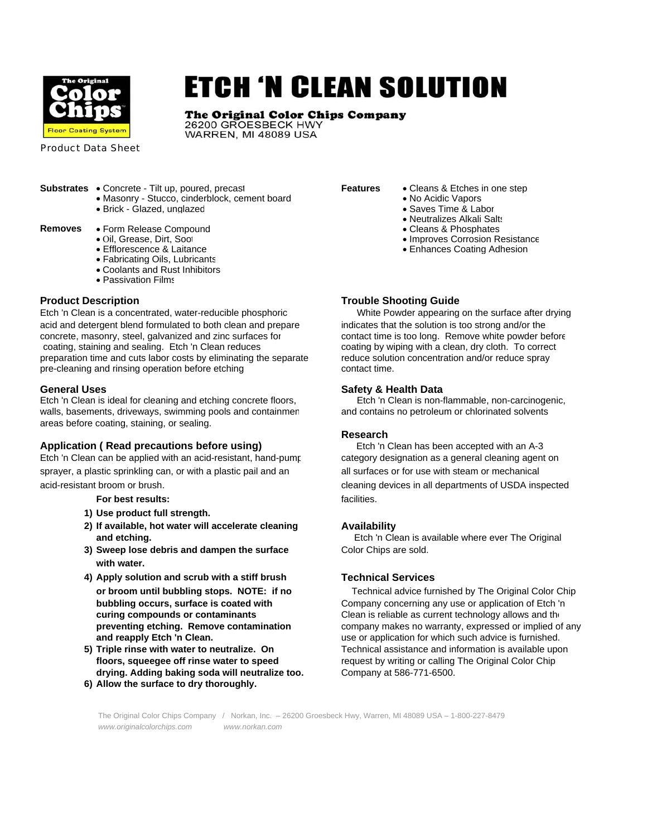

# **ETCH 'N CLEAN SOLUTION**

# The Original Color Chips Company

26200 GROESBECK HWY WARREN, MI 48089 USA

Product Data Sheet

- **Substrates** Concrete Tilt up, poured, precast **Features** Cleans & Etches in one step<br>• Masonry Stucco, cinderblock, cement board No Acidic Vapors • Masonry - Stucco, cinderblock, cement board
	- Brick Glazed, unglazed Saves Time & Labor

- **Removes** Form Release Compound<br>• Oil, Grease, Dirt, Soot
	-
	-
	- Fabricating Oils, Lubricants
	- Coolants and Rust Inhibitors
	- Passivation Films

Etch 'n Clean is a concentrated, water-reducible phosphoric White Powder appearing on the surface after drying acid and detergent blend formulated to both clean and prepare indicates that the solution is too strong and/or the concrete, masonry, steel, galvanized and zinc surfaces for contact time is too long. Remove white powder before coating, staining and sealing. Etch 'n Clean reduces coating by wiping with a clean, dry cloth. To correct preparation time and cuts labor costs by eliminating the separate reduce solution concentration and/or reduce spray pre-cleaning and rinsing operation before etching contact time.

**General Uses**<br>Etch 'n Clean is ideal for cleaning and etching concrete floors,<br>Etch 'n Clean is non-flammable, non-carcinogenic, Etch 'n Clean is ideal for cleaning and etching concrete floors, walls, basements, driveways, swimming pools and containmen and contains no petroleum or chlorinated solvents areas before coating, staining, or sealing.

# **Application ( Read precautions before using)** Etch 'n Clean has been accepted with an A-3

Etch 'n Clean can be applied with an acid-resistant, hand-pump category designation as a general cleaning agent on sprayer, a plastic sprinkling can, or with a plastic pail and an all surfaces or for use with steam or mechanical acid-resistant broom or brush. cleaning devices in all departments of USDA inspected

# **For best results: facilities.**

- **1) Use product full strength.**
- **2) If available, hot water will accelerate cleaning Availability**
- **3) Sweep lose debris and dampen the surface Color Chips are sold. with water.**
- **4) Apply solution and scrub with a stiff brush Technical Services**
- **drying. Adding baking soda will neutralize too.** Company at 586-771-6500.
- **6) Allow the surface to dry thoroughly.**

- 
- 
- 
- Neutralizes Alkali Salts<br>• Cleans & Phosphates
- 
- Oil, Grease, Dirt, Soot Improves Corrosion Resistance Improves Corrosion Resistance Improves Corrosion Resistance Improves Corrosion Resistance Improves Corrosion Resistance Improves Coating Adhesion • Enhances Coating Adhesion

# **Product Description Community Community Community Community Community Community Community Community Community Community Community Community Community Community Community Community Community Community Community Community C**

# **Research**

**and etching.** The Constanting Etch in Clean is available where ever The Original

**or broom until bubbling stops. NOTE: if no** Technical advice furnished by The Original Color Chip **bubbling occurs, surface is coated with** Company concerning any use or application of Etch 'n **curing compounds or contaminants Clean is reliable as current technology allows and the contaminants preventing etching. Remove contamination** company makes no warranty, expressed or implied of any **and reapply Etch 'n Clean. use or application for which such advice is furnished. 5) Triple rinse with water to neutralize. On** Technical assistance and information is available upon **floors, squeegee off rinse water to speed** request by writing or calling The Original Color Chip

 The Original Color Chips Company / Norkan, Inc. – 26200 Groesbeck Hwy, Warren, MI 48089 USA – 1-800-227-8479  *www.originalcolorchips.com www.norkan.com*